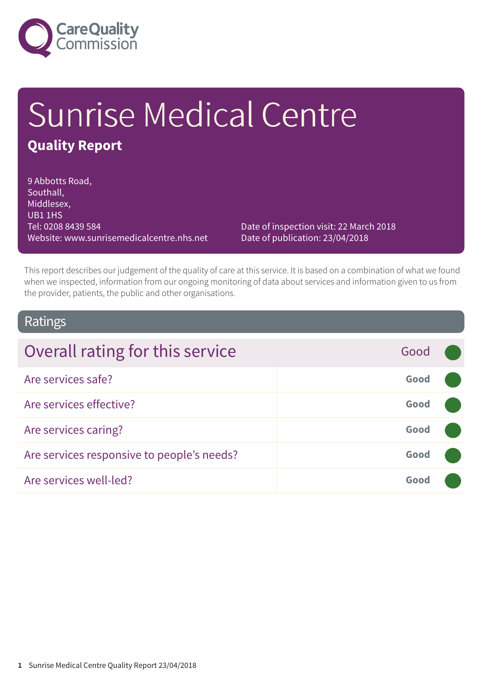

# Sunrise Medical Centre **Quality Report**

9 Abbotts Road, Southall, Middlesex, UB1 1HS Tel: 0208 8439 584 Website: www.sunrisemedicalcentre.nhs.net

Date of inspection visit: 22 March 2018 Date of publication: 23/04/2018

This report describes our judgement of the quality of care at this service. It is based on a combination of what we found when we inspected, information from our ongoing monitoring of data about services and information given to us from the provider, patients, the public and other organisations.

### Ratings

| Overall rating for this service            | Good |  |
|--------------------------------------------|------|--|
| Are services safe?                         | Good |  |
| Are services effective?                    | Good |  |
| Are services caring?                       | Good |  |
| Are services responsive to people's needs? | Good |  |
| Are services well-led?                     | Good |  |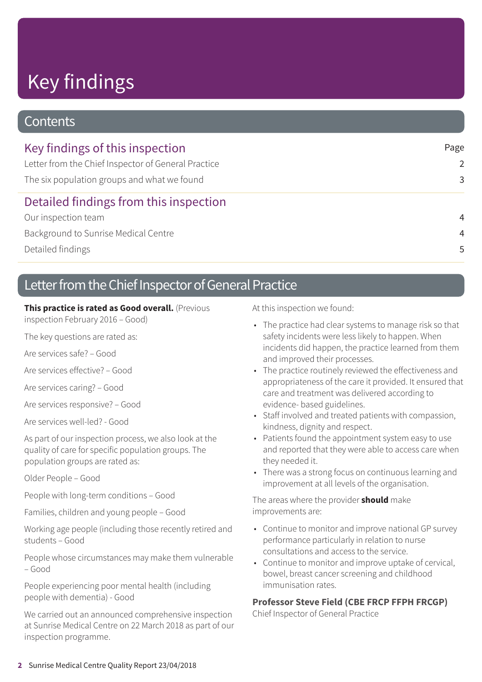# Key findings

### **Contents**

| Key findings of this inspection                     | Page           |
|-----------------------------------------------------|----------------|
| Letter from the Chief Inspector of General Practice | $\mathcal{P}$  |
| The six population groups and what we found         | 3              |
| Detailed findings from this inspection              |                |
| Our inspection team                                 | $\overline{4}$ |
| Background to Sunrise Medical Centre                | $\overline{4}$ |
| Detailed findings                                   | .5             |

### Letter from the Chief Inspector of General Practice

#### **This practice is rated as Good overall.** (Previous

inspection February 2016 – Good)

The key questions are rated as:

Are services safe? – Good

Are services effective? – Good

Are services caring? – Good

Are services responsive? – Good

Are services well-led? - Good

As part of our inspection process, we also look at the quality of care for specific population groups. The population groups are rated as:

Older People – Good

People with long-term conditions – Good

Families, children and young people – Good

Working age people (including those recently retired and students – Good

People whose circumstances may make them vulnerable – Good

People experiencing poor mental health (including people with dementia) - Good

We carried out an announced comprehensive inspection at Sunrise Medical Centre on 22 March 2018 as part of our inspection programme.

At this inspection we found:

- The practice had clear systems to manage risk so that safety incidents were less likely to happen. When incidents did happen, the practice learned from them and improved their processes.
- The practice routinely reviewed the effectiveness and appropriateness of the care it provided. It ensured that care and treatment was delivered according to evidence- based guidelines.
- Staff involved and treated patients with compassion, kindness, dignity and respect.
- Patients found the appointment system easy to use and reported that they were able to access care when they needed it.
- There was a strong focus on continuous learning and improvement at all levels of the organisation.

The areas where the provider **should** make improvements are:

- Continue to monitor and improve national GP survey performance particularly in relation to nurse consultations and access to the service.
- Continue to monitor and improve uptake of cervical, bowel, breast cancer screening and childhood immunisation rates.

#### **Professor Steve Field (CBE FRCP FFPH FRCGP)**

Chief Inspector of General Practice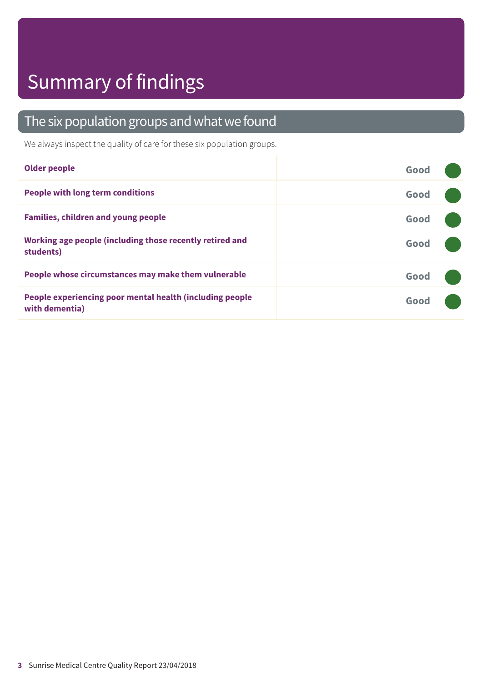## Summary of findings

### The six population groups and what we found

We always inspect the quality of care for these six population groups.

| <b>Older people</b>                                                        | Good |
|----------------------------------------------------------------------------|------|
| <b>People with long term conditions</b>                                    | Good |
| <b>Families, children and young people</b>                                 | Good |
| Working age people (including those recently retired and<br>students)      | Good |
| People whose circumstances may make them vulnerable                        | Good |
| People experiencing poor mental health (including people<br>with dementia) | Good |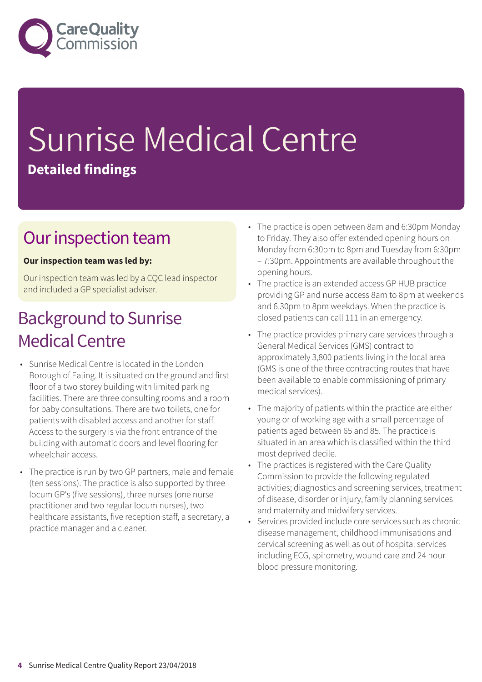

# Sunrise Medical Centre **Detailed findings**

### Our inspection team

#### **Our inspection team was led by:**

Our inspection team was led by a CQC lead inspector and included a GP specialist adviser.

### **Background to Sunrise Medical Centre**

- Sunrise Medical Centre is located in the London Borough of Ealing. It is situated on the ground and first floor of a two storey building with limited parking facilities. There are three consulting rooms and a room for baby consultations. There are two toilets, one for patients with disabled access and another for staff. Access to the surgery is via the front entrance of the building with automatic doors and level flooring for wheelchair access.
- The practice is run by two GP partners, male and female (ten sessions). The practice is also supported by three locum GP's (five sessions), three nurses (one nurse practitioner and two regular locum nurses), two healthcare assistants, five reception staff, a secretary, a practice manager and a cleaner.
- The practice is open between 8am and 6:30pm Monday to Friday. They also offer extended opening hours on Monday from 6:30pm to 8pm and Tuesday from 6:30pm – 7:30pm. Appointments are available throughout the opening hours.
- The practice is an extended access GP HUB practice providing GP and nurse access 8am to 8pm at weekends and 6.30pm to 8pm weekdays. When the practice is closed patients can call 111 in an emergency.
- The practice provides primary care services through a General Medical Services (GMS) contract to approximately 3,800 patients living in the local area (GMS is one of the three contracting routes that have been available to enable commissioning of primary medical services).
- The majority of patients within the practice are either young or of working age with a small percentage of patients aged between 65 and 85. The practice is situated in an area which is classified within the third most deprived decile.
- The practices is registered with the Care Quality Commission to provide the following regulated activities; diagnostics and screening services, treatment of disease, disorder or injury, family planning services and maternity and midwifery services.
- Services provided include core services such as chronic disease management, childhood immunisations and cervical screening as well as out of hospital services including ECG, spirometry, wound care and 24 hour blood pressure monitoring.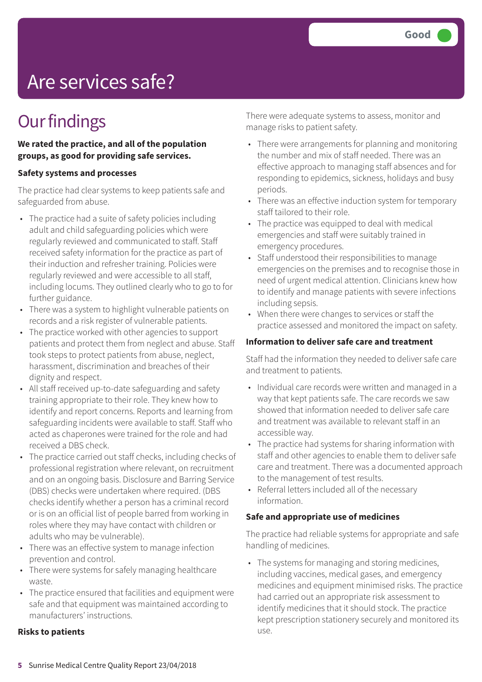## Are services safe?

## **Our findings**

**We rated the practice, and all of the population groups, as good for providing safe services.**

#### **Safety systems and processes**

The practice had clear systems to keep patients safe and safeguarded from abuse.

- The practice had a suite of safety policies including adult and child safeguarding policies which were regularly reviewed and communicated to staff. Staff received safety information for the practice as part of their induction and refresher training. Policies were regularly reviewed and were accessible to all staff, including locums. They outlined clearly who to go to for further guidance.
- There was a system to highlight vulnerable patients on records and a risk register of vulnerable patients.
- The practice worked with other agencies to support patients and protect them from neglect and abuse. Staff took steps to protect patients from abuse, neglect, harassment, discrimination and breaches of their dignity and respect.
- All staff received up-to-date safeguarding and safety training appropriate to their role. They knew how to identify and report concerns. Reports and learning from safeguarding incidents were available to staff. Staff who acted as chaperones were trained for the role and had received a DBS check.
- The practice carried out staff checks, including checks of professional registration where relevant, on recruitment and on an ongoing basis. Disclosure and Barring Service (DBS) checks were undertaken where required. (DBS checks identify whether a person has a criminal record or is on an official list of people barred from working in roles where they may have contact with children or adults who may be vulnerable).
- There was an effective system to manage infection prevention and control.
- There were systems for safely managing healthcare waste.
- The practice ensured that facilities and equipment were safe and that equipment was maintained according to manufacturers' instructions.

#### **Risks to patients**

There were adequate systems to assess, monitor and manage risks to patient safety.

- There were arrangements for planning and monitoring the number and mix of staff needed. There was an effective approach to managing staff absences and for responding to epidemics, sickness, holidays and busy periods.
- There was an effective induction system for temporary staff tailored to their role.
- The practice was equipped to deal with medical emergencies and staff were suitably trained in emergency procedures.
- Staff understood their responsibilities to manage emergencies on the premises and to recognise those in need of urgent medical attention. Clinicians knew how to identify and manage patients with severe infections including sepsis.
- When there were changes to services or staff the practice assessed and monitored the impact on safety.

#### **Information to deliver safe care and treatment**

Staff had the information they needed to deliver safe care and treatment to patients.

- Individual care records were written and managed in a way that kept patients safe. The care records we saw showed that information needed to deliver safe care and treatment was available to relevant staff in an accessible way.
- The practice had systems for sharing information with staff and other agencies to enable them to deliver safe care and treatment. There was a documented approach to the management of test results.
- Referral letters included all of the necessary information.

#### **Safe and appropriate use of medicines**

The practice had reliable systems for appropriate and safe handling of medicines.

• The systems for managing and storing medicines, including vaccines, medical gases, and emergency medicines and equipment minimised risks. The practice had carried out an appropriate risk assessment to identify medicines that it should stock. The practice kept prescription stationery securely and monitored its use.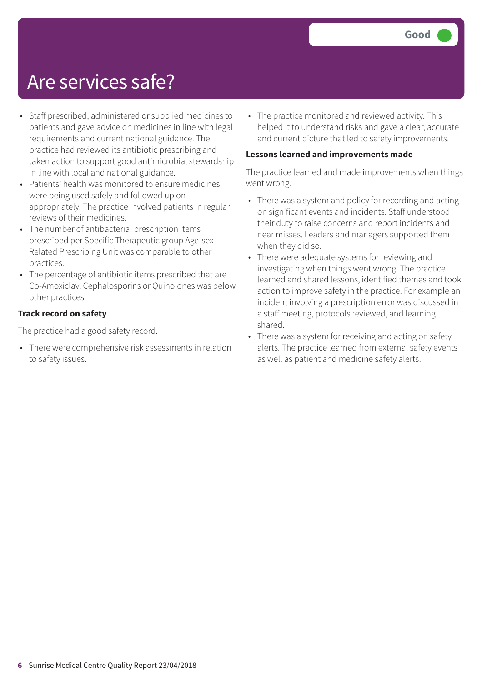### Are services safe?

- Staff prescribed, administered or supplied medicines to patients and gave advice on medicines in line with legal requirements and current national guidance. The practice had reviewed its antibiotic prescribing and taken action to support good antimicrobial stewardship in line with local and national guidance.
- Patients' health was monitored to ensure medicines were being used safely and followed up on appropriately. The practice involved patients in regular reviews of their medicines.
- The number of antibacterial prescription items prescribed per Specific Therapeutic group Age-sex Related Prescribing Unit was comparable to other practices.
- The percentage of antibiotic items prescribed that are Co-Amoxiclav, Cephalosporins or Quinolones was below other practices.

#### **Track record on safety**

The practice had a good safety record.

• There were comprehensive risk assessments in relation to safety issues.

• The practice monitored and reviewed activity. This helped it to understand risks and gave a clear, accurate and current picture that led to safety improvements.

#### **Lessons learned and improvements made**

The practice learned and made improvements when things went wrong.

- There was a system and policy for recording and acting on significant events and incidents. Staff understood their duty to raise concerns and report incidents and near misses. Leaders and managers supported them when they did so.
- There were adequate systems for reviewing and investigating when things went wrong. The practice learned and shared lessons, identified themes and took action to improve safety in the practice. For example an incident involving a prescription error was discussed in a staff meeting, protocols reviewed, and learning shared.
- There was a system for receiving and acting on safety alerts. The practice learned from external safety events as well as patient and medicine safety alerts.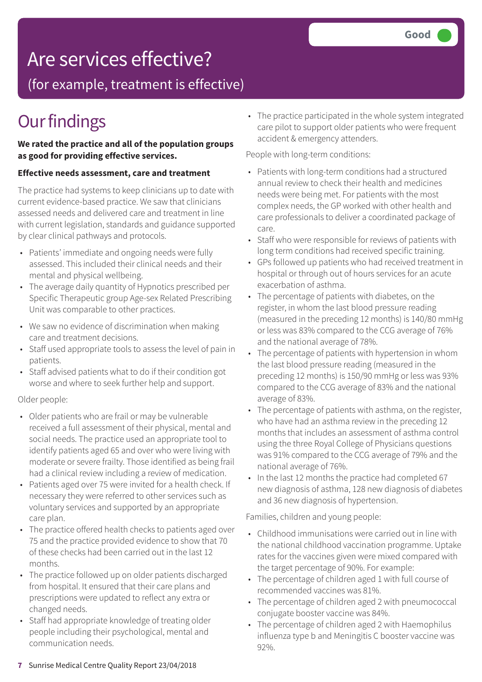## Are services effective?

(for example, treatment is effective)

### **Our findings**

#### **We rated the practice and all of the population groups as good for providing effective services.**

#### **Effective needs assessment, care and treatment**

The practice had systems to keep clinicians up to date with current evidence-based practice. We saw that clinicians assessed needs and delivered care and treatment in line with current legislation, standards and guidance supported by clear clinical pathways and protocols.

- Patients' immediate and ongoing needs were fully assessed. This included their clinical needs and their mental and physical wellbeing.
- The average daily quantity of Hypnotics prescribed per Specific Therapeutic group Age-sex Related Prescribing Unit was comparable to other practices.
- We saw no evidence of discrimination when making care and treatment decisions.
- Staff used appropriate tools to assess the level of pain in patients.
- Staff advised patients what to do if their condition got worse and where to seek further help and support.

#### Older people:

- Older patients who are frail or may be vulnerable received a full assessment of their physical, mental and social needs. The practice used an appropriate tool to identify patients aged 65 and over who were living with moderate or severe frailty. Those identified as being frail had a clinical review including a review of medication.
- Patients aged over 75 were invited for a health check. If necessary they were referred to other services such as voluntary services and supported by an appropriate care plan.
- The practice offered health checks to patients aged over 75 and the practice provided evidence to show that 70 of these checks had been carried out in the last 12 months.
- The practice followed up on older patients discharged from hospital. It ensured that their care plans and prescriptions were updated to reflect any extra or changed needs.
- Staff had appropriate knowledge of treating older people including their psychological, mental and communication needs.

• The practice participated in the whole system integrated care pilot to support older patients who were frequent accident & emergency attenders.

People with long-term conditions:

- Patients with long-term conditions had a structured annual review to check their health and medicines needs were being met. For patients with the most complex needs, the GP worked with other health and care professionals to deliver a coordinated package of care.
- Staff who were responsible for reviews of patients with long term conditions had received specific training.
- GPs followed up patients who had received treatment in hospital or through out of hours services for an acute exacerbation of asthma.
- The percentage of patients with diabetes, on the register, in whom the last blood pressure reading (measured in the preceding 12 months) is 140/80 mmHg or less was 83% compared to the CCG average of 76% and the national average of 78%.
- The percentage of patients with hypertension in whom the last blood pressure reading (measured in the preceding 12 months) is 150/90 mmHg or less was 93% compared to the CCG average of 83% and the national average of 83%.
- The percentage of patients with asthma, on the register, who have had an asthma review in the preceding 12 months that includes an assessment of asthma control using the three Royal College of Physicians questions was 91% compared to the CCG average of 79% and the national average of 76%.
- In the last 12 months the practice had completed 67 new diagnosis of asthma, 128 new diagnosis of diabetes and 36 new diagnosis of hypertension.

Families, children and young people:

- Childhood immunisations were carried out in line with the national childhood vaccination programme. Uptake rates for the vaccines given were mixed compared with the target percentage of 90%. For example:
- The percentage of children aged 1 with full course of recommended vaccines was 81%.
- The percentage of children aged 2 with pneumococcal conjugate booster vaccine was 84%.
- The percentage of children aged 2 with Haemophilus influenza type b and Meningitis C booster vaccine was 92%.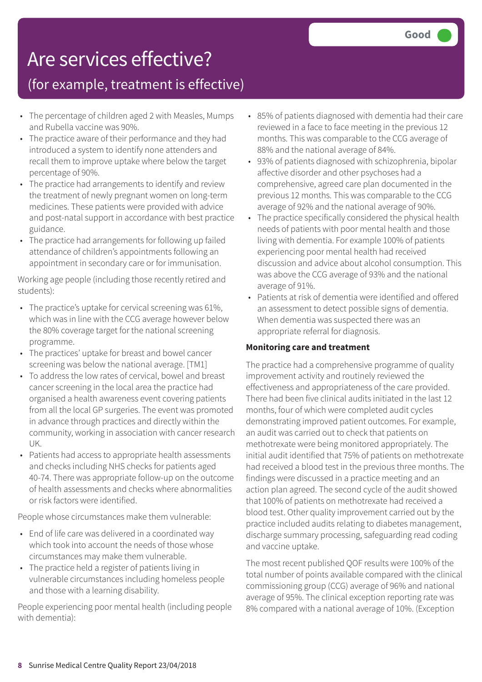## Are services effective?

### (for example, treatment is effective)

- The percentage of children aged 2 with Measles, Mumps and Rubella vaccine was 90%.
- The practice aware of their performance and they had introduced a system to identify none attenders and recall them to improve uptake where below the target percentage of 90%.
- The practice had arrangements to identify and review the treatment of newly pregnant women on long-term medicines. These patients were provided with advice and post-natal support in accordance with best practice guidance.
- The practice had arrangements for following up failed attendance of children's appointments following an appointment in secondary care or for immunisation.

Working age people (including those recently retired and students):

- The practice's uptake for cervical screening was 61%, which was in line with the CCG average however below the 80% coverage target for the national screening programme.
- The practices' uptake for breast and bowel cancer screening was below the national average. [TM1]
- To address the low rates of cervical, bowel and breast cancer screening in the local area the practice had organised a health awareness event covering patients from all the local GP surgeries. The event was promoted in advance through practices and directly within the community, working in association with cancer research UK.
- Patients had access to appropriate health assessments and checks including NHS checks for patients aged 40-74. There was appropriate follow-up on the outcome of health assessments and checks where abnormalities or risk factors were identified.

People whose circumstances make them vulnerable:

- End of life care was delivered in a coordinated way which took into account the needs of those whose circumstances may make them vulnerable.
- The practice held a register of patients living in vulnerable circumstances including homeless people and those with a learning disability.

People experiencing poor mental health (including people with dementia):

- 85% of patients diagnosed with dementia had their care reviewed in a face to face meeting in the previous 12 months. This was comparable to the CCG average of 88% and the national average of 84%.
- 93% of patients diagnosed with schizophrenia, bipolar affective disorder and other psychoses had a comprehensive, agreed care plan documented in the previous 12 months. This was comparable to the CCG average of 92% and the national average of 90%.
- The practice specifically considered the physical health needs of patients with poor mental health and those living with dementia. For example 100% of patients experiencing poor mental health had received discussion and advice about alcohol consumption. This was above the CCG average of 93% and the national average of 91%.
- Patients at risk of dementia were identified and offered an assessment to detect possible signs of dementia. When dementia was suspected there was an appropriate referral for diagnosis.

#### **Monitoring care and treatment**

The practice had a comprehensive programme of quality improvement activity and routinely reviewed the effectiveness and appropriateness of the care provided. There had been five clinical audits initiated in the last 12 months, four of which were completed audit cycles demonstrating improved patient outcomes. For example, an audit was carried out to check that patients on methotrexate were being monitored appropriately. The initial audit identified that 75% of patients on methotrexate had received a blood test in the previous three months. The findings were discussed in a practice meeting and an action plan agreed. The second cycle of the audit showed that 100% of patients on methotrexate had received a blood test. Other quality improvement carried out by the practice included audits relating to diabetes management, discharge summary processing, safeguarding read coding and vaccine uptake.

The most recent published QOF results were 100% of the total number of points available compared with the clinical commissioning group (CCG) average of 96% and national average of 95%. The clinical exception reporting rate was 8% compared with a national average of 10%. (Exception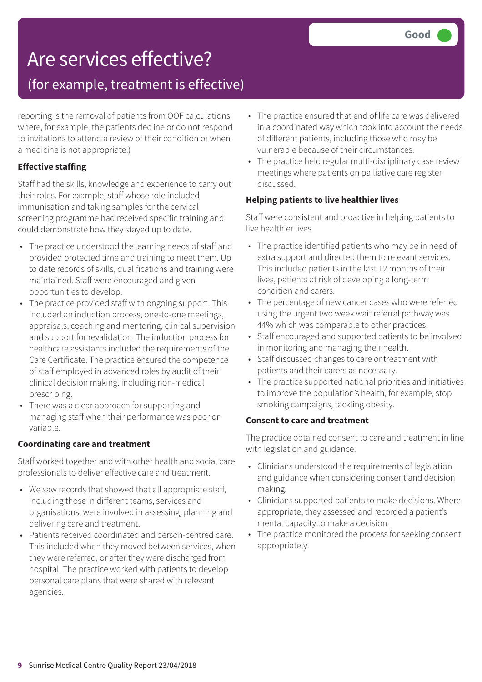## Are services effective?

### (for example, treatment is effective)

reporting is the removal of patients from QOF calculations where, for example, the patients decline or do not respond to invitations to attend a review of their condition or when a medicine is not appropriate.)

#### **Effective staffing**

Staff had the skills, knowledge and experience to carry out their roles. For example, staff whose role included immunisation and taking samples for the cervical screening programme had received specific training and could demonstrate how they stayed up to date.

- The practice understood the learning needs of staff and provided protected time and training to meet them. Up to date records of skills, qualifications and training were maintained. Staff were encouraged and given opportunities to develop.
- The practice provided staff with ongoing support. This included an induction process, one-to-one meetings, appraisals, coaching and mentoring, clinical supervision and support for revalidation. The induction process for healthcare assistants included the requirements of the Care Certificate. The practice ensured the competence of staff employed in advanced roles by audit of their clinical decision making, including non-medical prescribing.
- There was a clear approach for supporting and managing staff when their performance was poor or variable.

#### **Coordinating care and treatment**

Staff worked together and with other health and social care professionals to deliver effective care and treatment.

- We saw records that showed that all appropriate staff, including those in different teams, services and organisations, were involved in assessing, planning and delivering care and treatment.
- Patients received coordinated and person-centred care. This included when they moved between services, when they were referred, or after they were discharged from hospital. The practice worked with patients to develop personal care plans that were shared with relevant agencies.
- The practice ensured that end of life care was delivered in a coordinated way which took into account the needs of different patients, including those who may be vulnerable because of their circumstances.
- The practice held regular multi-disciplinary case review meetings where patients on palliative care register discussed.

#### **Helping patients to live healthier lives**

Staff were consistent and proactive in helping patients to live healthier lives.

- The practice identified patients who may be in need of extra support and directed them to relevant services. This included patients in the last 12 months of their lives, patients at risk of developing a long-term condition and carers.
- The percentage of new cancer cases who were referred using the urgent two week wait referral pathway was 44% which was comparable to other practices.
- Staff encouraged and supported patients to be involved in monitoring and managing their health.
- Staff discussed changes to care or treatment with patients and their carers as necessary.
- The practice supported national priorities and initiatives to improve the population's health, for example, stop smoking campaigns, tackling obesity.

#### **Consent to care and treatment**

The practice obtained consent to care and treatment in line with legislation and guidance.

- Clinicians understood the requirements of legislation and guidance when considering consent and decision making.
- Clinicians supported patients to make decisions. Where appropriate, they assessed and recorded a patient's mental capacity to make a decision.
- The practice monitored the process for seeking consent appropriately.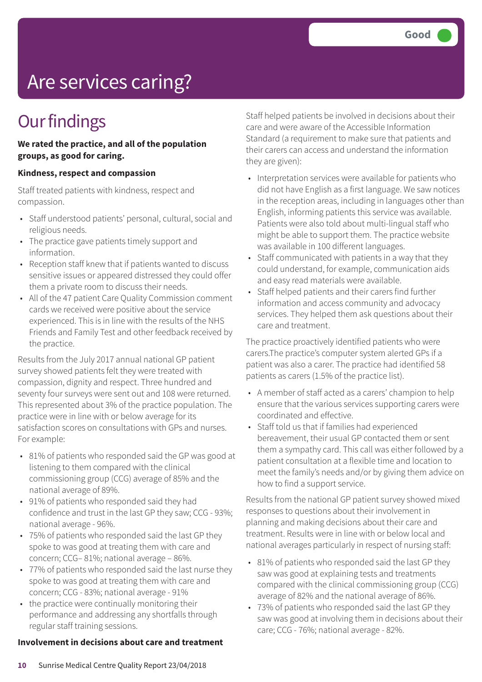# Are services caring?

### **Our findings**

#### **We rated the practice, and all of the population groups, as good for caring.**

#### **Kindness, respect and compassion**

Staff treated patients with kindness, respect and compassion.

- Staff understood patients' personal, cultural, social and religious needs.
- The practice gave patients timely support and information.
- Reception staff knew that if patients wanted to discuss sensitive issues or appeared distressed they could offer them a private room to discuss their needs.
- All of the 47 patient Care Quality Commission comment cards we received were positive about the service experienced. This is in line with the results of the NHS Friends and Family Test and other feedback received by the practice.

Results from the July 2017 annual national GP patient survey showed patients felt they were treated with compassion, dignity and respect. Three hundred and seventy four surveys were sent out and 108 were returned. This represented about 3% of the practice population. The practice were in line with or below average for its satisfaction scores on consultations with GPs and nurses. For example:

- 81% of patients who responded said the GP was good at listening to them compared with the clinical commissioning group (CCG) average of 85% and the national average of 89%.
- 91% of patients who responded said they had confidence and trust in the last GP they saw; CCG - 93%; national average - 96%.
- 75% of patients who responded said the last GP they spoke to was good at treating them with care and concern; CCG– 81%; national average – 86%.
- 77% of patients who responded said the last nurse they spoke to was good at treating them with care and concern; CCG - 83%; national average - 91%
- the practice were continually monitoring their performance and addressing any shortfalls through regular staff training sessions.

#### **Involvement in decisions about care and treatment**

Staff helped patients be involved in decisions about their care and were aware of the Accessible Information Standard (a requirement to make sure that patients and their carers can access and understand the information they are given):

- Interpretation services were available for patients who did not have English as a first language. We saw notices in the reception areas, including in languages other than English, informing patients this service was available. Patients were also told about multi-lingual staff who might be able to support them. The practice website was available in 100 different languages.
- Staff communicated with patients in a way that they could understand, for example, communication aids and easy read materials were available.
- Staff helped patients and their carers find further information and access community and advocacy services. They helped them ask questions about their care and treatment.

The practice proactively identified patients who were carers.The practice's computer system alerted GPs if a patient was also a carer. The practice had identified 58 patients as carers (1.5% of the practice list).

- A member of staff acted as a carers' champion to help ensure that the various services supporting carers were coordinated and effective.
- Staff told us that if families had experienced bereavement, their usual GP contacted them or sent them a sympathy card. This call was either followed by a patient consultation at a flexible time and location to meet the family's needs and/or by giving them advice on how to find a support service.

Results from the national GP patient survey showed mixed responses to questions about their involvement in planning and making decisions about their care and treatment. Results were in line with or below local and national averages particularly in respect of nursing staff:

- 81% of patients who responded said the last GP they saw was good at explaining tests and treatments compared with the clinical commissioning group (CCG) average of 82% and the national average of 86%.
- 73% of patients who responded said the last GP they saw was good at involving them in decisions about their care; CCG - 76%; national average - 82%.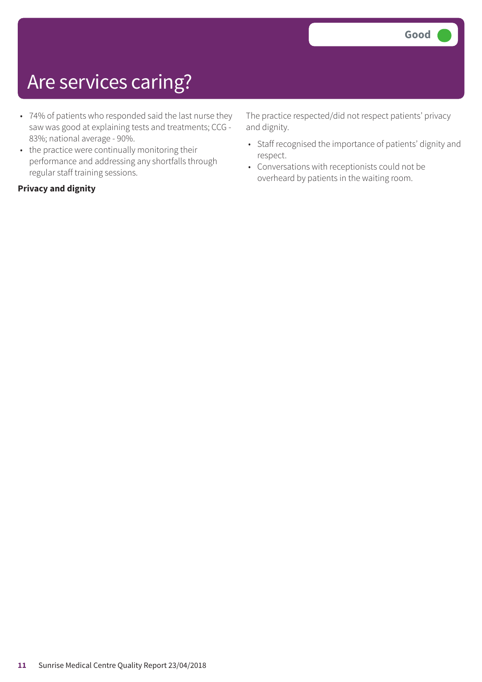## Are services caring?

- 74% of patients who responded said the last nurse they saw was good at explaining tests and treatments; CCG - 83%; national average - 90%.
- the practice were continually monitoring their performance and addressing any shortfalls through regular staff training sessions.

#### **Privacy and dignity**

The practice respected/did not respect patients' privacy and dignity.

- Staff recognised the importance of patients' dignity and respect.
- Conversations with receptionists could not be overheard by patients in the waiting room.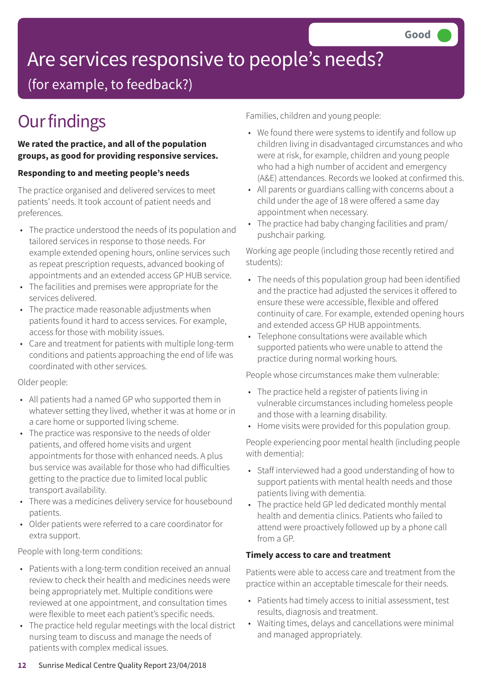# Are services responsive to people's needs?

(for example, to feedback?)

## **Our findings**

#### **We rated the practice, and all of the population groups, as good for providing responsive services.**

#### **Responding to and meeting people's needs**

The practice organised and delivered services to meet patients' needs. It took account of patient needs and preferences.

- The practice understood the needs of its population and tailored services in response to those needs. For example extended opening hours, online services such as repeat prescription requests, advanced booking of appointments and an extended access GP HUB service.
- The facilities and premises were appropriate for the services delivered.
- The practice made reasonable adjustments when patients found it hard to access services. For example, access for those with mobility issues.
- Care and treatment for patients with multiple long-term conditions and patients approaching the end of life was coordinated with other services.

#### Older people:

- All patients had a named GP who supported them in whatever setting they lived, whether it was at home or in a care home or supported living scheme.
- The practice was responsive to the needs of older patients, and offered home visits and urgent appointments for those with enhanced needs. A plus bus service was available for those who had difficulties getting to the practice due to limited local public transport availability.
- There was a medicines delivery service for housebound patients.
- Older patients were referred to a care coordinator for extra support.

People with long-term conditions:

- Patients with a long-term condition received an annual review to check their health and medicines needs were being appropriately met. Multiple conditions were reviewed at one appointment, and consultation times were flexible to meet each patient's specific needs.
- The practice held regular meetings with the local district nursing team to discuss and manage the needs of patients with complex medical issues.

Families, children and young people:

- We found there were systems to identify and follow up children living in disadvantaged circumstances and who were at risk, for example, children and young people who had a high number of accident and emergency (A&E) attendances. Records we looked at confirmed this.
- All parents or guardians calling with concerns about a child under the age of 18 were offered a same day appointment when necessary.
- The practice had baby changing facilities and pram/ pushchair parking.

Working age people (including those recently retired and students):

- The needs of this population group had been identified and the practice had adjusted the services it offered to ensure these were accessible, flexible and offered continuity of care. For example, extended opening hours and extended access GP HUB appointments.
- Telephone consultations were available which supported patients who were unable to attend the practice during normal working hours.

People whose circumstances make them vulnerable:

- The practice held a register of patients living in vulnerable circumstances including homeless people and those with a learning disability.
- Home visits were provided for this population group.

People experiencing poor mental health (including people with dementia):

- Staff interviewed had a good understanding of how to support patients with mental health needs and those patients living with dementia.
- The practice held GP led dedicated monthly mental health and dementia clinics. Patients who failed to attend were proactively followed up by a phone call from a GP.

#### **Timely access to care and treatment**

Patients were able to access care and treatment from the practice within an acceptable timescale for their needs.

- Patients had timely access to initial assessment, test results, diagnosis and treatment.
- Waiting times, delays and cancellations were minimal and managed appropriately.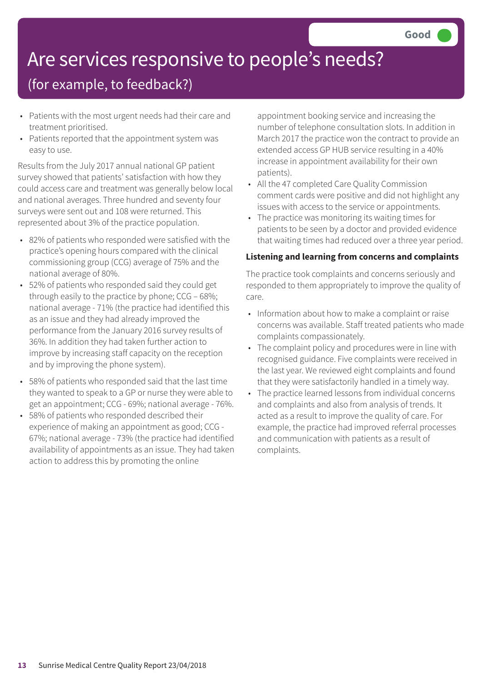# Are services responsive to people's needs?

### (for example, to feedback?)

- Patients with the most urgent needs had their care and treatment prioritised.
- Patients reported that the appointment system was easy to use.

Results from the July 2017 annual national GP patient survey showed that patients' satisfaction with how they could access care and treatment was generally below local and national averages. Three hundred and seventy four surveys were sent out and 108 were returned. This represented about 3% of the practice population.

- 82% of patients who responded were satisfied with the practice's opening hours compared with the clinical commissioning group (CCG) average of 75% and the national average of 80%.
- 52% of patients who responded said they could get through easily to the practice by phone; CCG – 68%; national average - 71% (the practice had identified this as an issue and they had already improved the performance from the January 2016 survey results of 36%. In addition they had taken further action to improve by increasing staff capacity on the reception and by improving the phone system).
- 58% of patients who responded said that the last time they wanted to speak to a GP or nurse they were able to get an appointment; CCG - 69%; national average - 76%.
- 58% of patients who responded described their experience of making an appointment as good; CCG - 67%; national average - 73% (the practice had identified availability of appointments as an issue. They had taken action to address this by promoting the online

appointment booking service and increasing the number of telephone consultation slots. In addition in March 2017 the practice won the contract to provide an extended access GP HUB service resulting in a 40% increase in appointment availability for their own patients).

- All the 47 completed Care Quality Commission comment cards were positive and did not highlight any issues with access to the service or appointments.
- The practice was monitoring its waiting times for patients to be seen by a doctor and provided evidence that waiting times had reduced over a three year period.

#### **Listening and learning from concerns and complaints**

The practice took complaints and concerns seriously and responded to them appropriately to improve the quality of care.

- Information about how to make a complaint or raise concerns was available. Staff treated patients who made complaints compassionately.
- The complaint policy and procedures were in line with recognised guidance. Five complaints were received in the last year. We reviewed eight complaints and found that they were satisfactorily handled in a timely way.
- The practice learned lessons from individual concerns and complaints and also from analysis of trends. It acted as a result to improve the quality of care. For example, the practice had improved referral processes and communication with patients as a result of complaints.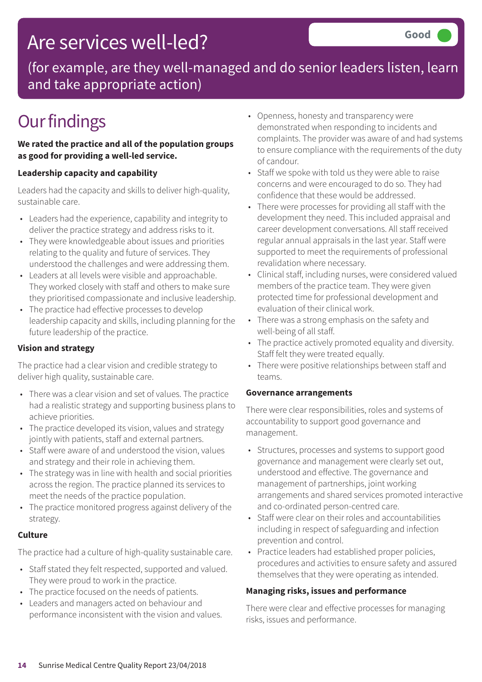## Are services well-led?

(for example, are they well-managed and do senior leaders listen, learn and take appropriate action)

## **Our findings**

#### **We rated the practice and all of the population groups as good for providing a well-led service.**

#### **Leadership capacity and capability**

Leaders had the capacity and skills to deliver high-quality, sustainable care.

- Leaders had the experience, capability and integrity to deliver the practice strategy and address risks to it.
- They were knowledgeable about issues and priorities relating to the quality and future of services. They understood the challenges and were addressing them.
- Leaders at all levels were visible and approachable. They worked closely with staff and others to make sure they prioritised compassionate and inclusive leadership.
- The practice had effective processes to develop leadership capacity and skills, including planning for the future leadership of the practice.

#### **Vision and strategy**

The practice had a clear vision and credible strategy to deliver high quality, sustainable care.

- There was a clear vision and set of values. The practice had a realistic strategy and supporting business plans to achieve priorities.
- The practice developed its vision, values and strategy jointly with patients, staff and external partners.
- Staff were aware of and understood the vision, values and strategy and their role in achieving them.
- The strategy was in line with health and social priorities across the region. The practice planned its services to meet the needs of the practice population.
- The practice monitored progress against delivery of the strategy.

#### **Culture**

The practice had a culture of high-quality sustainable care.

- Staff stated they felt respected, supported and valued. They were proud to work in the practice.
- The practice focused on the needs of patients.
- Leaders and managers acted on behaviour and performance inconsistent with the vision and values.
- Openness, honesty and transparency were demonstrated when responding to incidents and complaints. The provider was aware of and had systems to ensure compliance with the requirements of the duty of candour.
- Staff we spoke with told us they were able to raise concerns and were encouraged to do so. They had confidence that these would be addressed.
- There were processes for providing all staff with the development they need. This included appraisal and career development conversations. All staff received regular annual appraisals in the last year. Staff were supported to meet the requirements of professional revalidation where necessary.
- Clinical staff, including nurses, were considered valued members of the practice team. They were given protected time for professional development and evaluation of their clinical work.
- There was a strong emphasis on the safety and well-being of all staff.
- The practice actively promoted equality and diversity. Staff felt they were treated equally.
- There were positive relationships between staff and teams.

#### **Governance arrangements**

There were clear responsibilities, roles and systems of accountability to support good governance and management.

- Structures, processes and systems to support good governance and management were clearly set out, understood and effective. The governance and management of partnerships, joint working arrangements and shared services promoted interactive and co-ordinated person-centred care.
- Staff were clear on their roles and accountabilities including in respect of safeguarding and infection prevention and control.
- Practice leaders had established proper policies, procedures and activities to ensure safety and assured themselves that they were operating as intended.

#### **Managing risks, issues and performance**

There were clear and effective processes for managing risks, issues and performance.